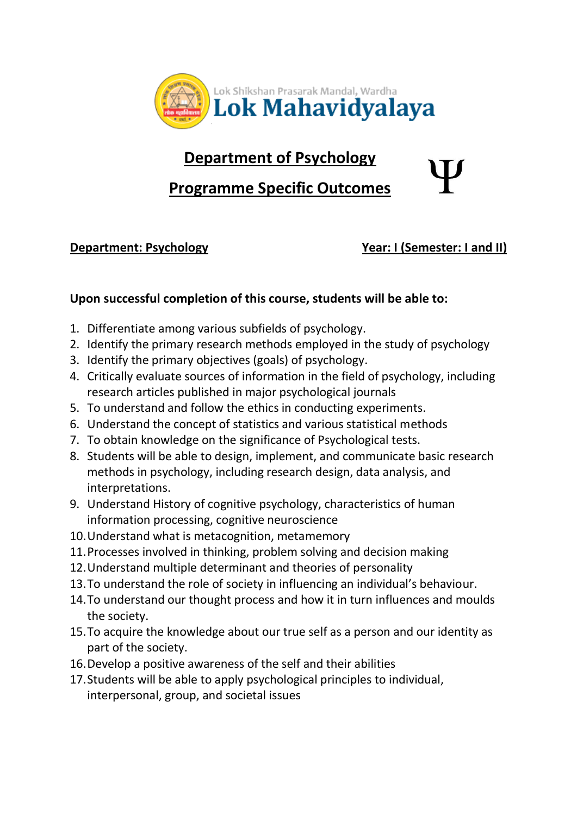

## **Department of Psychology**

## **Programme Specific Outcomes**

**Department: Psychology Year: I (Semester: I and II)** 

## **Upon successful completion of this course, students will be able to:**

- 1. Differentiate among various subfields of psychology.
- 2. Identify the primary research methods employed in the study of psychology
- 3. Identify the primary objectives (goals) of psychology.
- 4. Critically evaluate sources of information in the field of psychology, including research articles published in major psychological journals
- 5. To understand and follow the ethics in conducting experiments.
- 6. Understand the concept of statistics and various statistical methods
- 7. To obtain knowledge on the significance of Psychological tests.
- 8. Students will be able to design, implement, and communicate basic research methods in psychology, including research design, data analysis, and interpretations.
- 9. Understand History of cognitive psychology, characteristics of human information processing, cognitive neuroscience
- 10.Understand what is metacognition, metamemory
- 11.Processes involved in thinking, problem solving and decision making
- 12.Understand multiple determinant and theories of personality
- 13.To understand the role of society in influencing an individual's behaviour.
- 14.To understand our thought process and how it in turn influences and moulds the society.
- 15.To acquire the knowledge about our true self as a person and our identity as part of the society.
- 16.Develop a positive awareness of the self and their abilities
- 17.Students will be able to apply psychological principles to individual, interpersonal, group, and societal issues